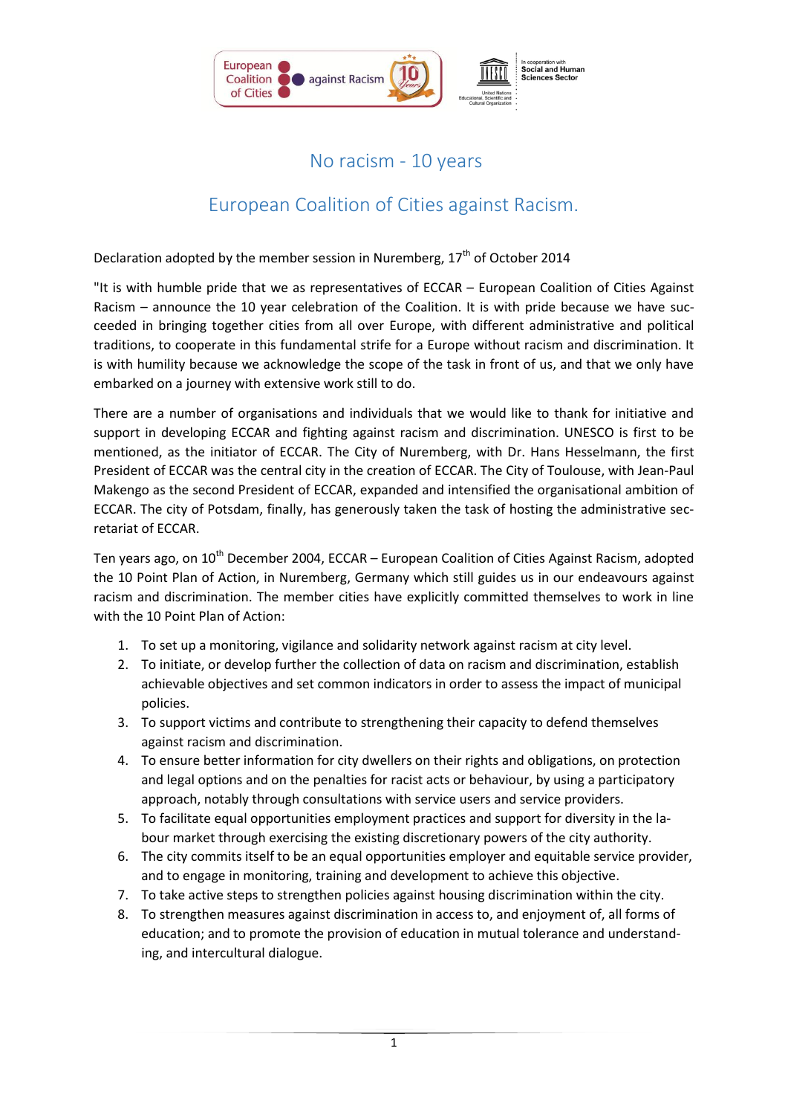

## No racism - 10 years

## European Coalition of Cities against Racism.

Declaration adopted by the member session in Nuremberg,  $17<sup>th</sup>$  of October 2014

"It is with humble pride that we as representatives of ECCAR – European Coalition of Cities Against Racism – announce the 10 year celebration of the Coalition. It is with pride because we have succeeded in bringing together cities from all over Europe, with different administrative and political traditions, to cooperate in this fundamental strife for a Europe without racism and discrimination. It is with humility because we acknowledge the scope of the task in front of us, and that we only have embarked on a journey with extensive work still to do.

There are a number of organisations and individuals that we would like to thank for initiative and support in developing ECCAR and fighting against racism and discrimination. UNESCO is first to be mentioned, as the initiator of ECCAR. The City of Nuremberg, with Dr. Hans Hesselmann, the first President of ECCAR was the central city in the creation of ECCAR. The City of Toulouse, with Jean-Paul Makengo as the second President of ECCAR, expanded and intensified the organisational ambition of ECCAR. The city of Potsdam, finally, has generously taken the task of hosting the administrative secretariat of ECCAR.

Ten years ago, on  $10<sup>th</sup>$  December 2004, ECCAR – European Coalition of Cities Against Racism, adopted the 10 Point Plan of Action, in Nuremberg, Germany which still guides us in our endeavours against racism and discrimination. The member cities have explicitly committed themselves to work in line with the 10 Point Plan of Action:

- 1. To set up a monitoring, vigilance and solidarity network against racism at city level.
- 2. To initiate, or develop further the collection of data on racism and discrimination, establish achievable objectives and set common indicators in order to assess the impact of municipal policies.
- 3. To support victims and contribute to strengthening their capacity to defend themselves against racism and discrimination.
- 4. To ensure better information for city dwellers on their rights and obligations, on protection and legal options and on the penalties for racist acts or behaviour, by using a participatory approach, notably through consultations with service users and service providers.
- 5. To facilitate equal opportunities employment practices and support for diversity in the labour market through exercising the existing discretionary powers of the city authority.
- 6. The city commits itself to be an equal opportunities employer and equitable service provider, and to engage in monitoring, training and development to achieve this objective.
- 7. To take active steps to strengthen policies against housing discrimination within the city.
- 8. To strengthen measures against discrimination in access to, and enjoyment of, all forms of education; and to promote the provision of education in mutual tolerance and understanding, and intercultural dialogue.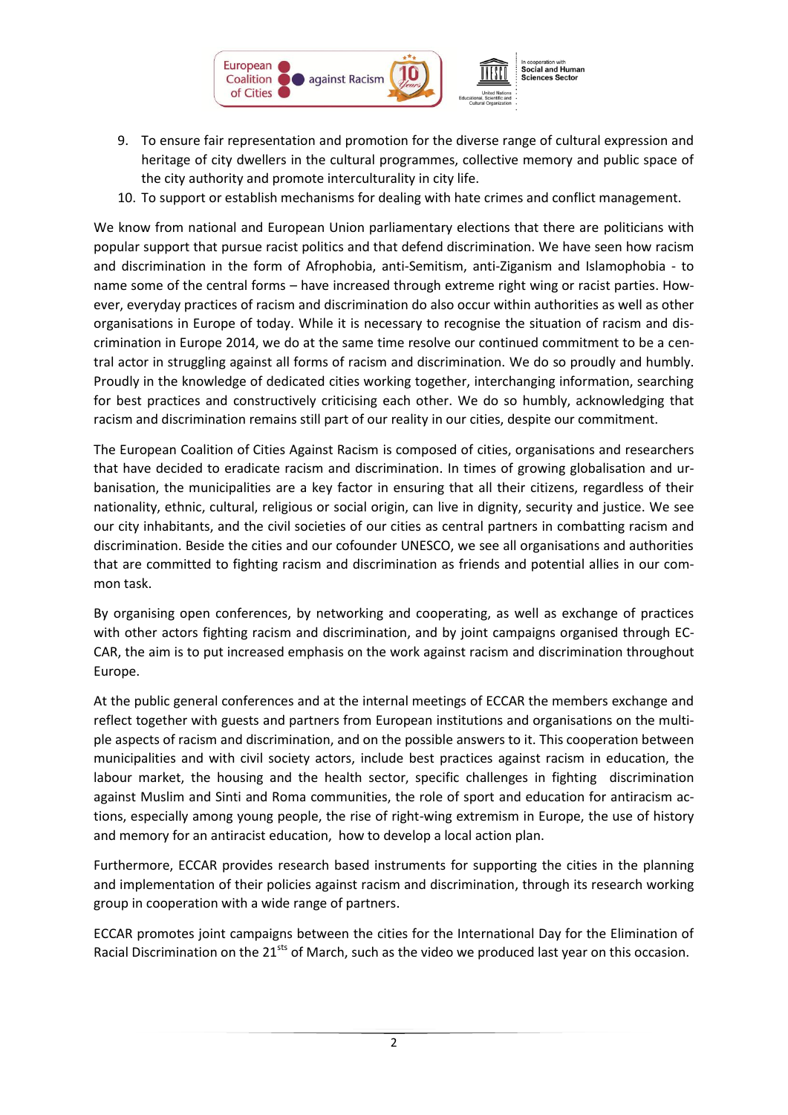

- 9. To ensure fair representation and promotion for the diverse range of cultural expression and heritage of city dwellers in the cultural programmes, collective memory and public space of the city authority and promote interculturality in city life.
- 10. To support or establish mechanisms for dealing with hate crimes and conflict management.

We know from national and European Union parliamentary elections that there are politicians with popular support that pursue racist politics and that defend discrimination. We have seen how racism and discrimination in the form of Afrophobia, anti-Semitism, anti-Ziganism and Islamophobia - to name some of the central forms – have increased through extreme right wing or racist parties. However, everyday practices of racism and discrimination do also occur within authorities as well as other organisations in Europe of today. While it is necessary to recognise the situation of racism and discrimination in Europe 2014, we do at the same time resolve our continued commitment to be a central actor in struggling against all forms of racism and discrimination. We do so proudly and humbly. Proudly in the knowledge of dedicated cities working together, interchanging information, searching for best practices and constructively criticising each other. We do so humbly, acknowledging that racism and discrimination remains still part of our reality in our cities, despite our commitment.

The European Coalition of Cities Against Racism is composed of cities, organisations and researchers that have decided to eradicate racism and discrimination. In times of growing globalisation and urbanisation, the municipalities are a key factor in ensuring that all their citizens, regardless of their nationality, ethnic, cultural, religious or social origin, can live in dignity, security and justice. We see our city inhabitants, and the civil societies of our cities as central partners in combatting racism and discrimination. Beside the cities and our cofounder UNESCO, we see all organisations and authorities that are committed to fighting racism and discrimination as friends and potential allies in our common task.

By organising open conferences, by networking and cooperating, as well as exchange of practices with other actors fighting racism and discrimination, and by joint campaigns organised through EC-CAR, the aim is to put increased emphasis on the work against racism and discrimination throughout Europe.

At the public general conferences and at the internal meetings of ECCAR the members exchange and reflect together with guests and partners from European institutions and organisations on the multiple aspects of racism and discrimination, and on the possible answers to it. This cooperation between municipalities and with civil society actors, include best practices against racism in education, the labour market, the housing and the health sector, specific challenges in fighting discrimination against Muslim and Sinti and Roma communities, the role of sport and education for antiracism actions, especially among young people, the rise of right-wing extremism in Europe, the use of history and memory for an antiracist education, how to develop a local action plan.

Furthermore, ECCAR provides research based instruments for supporting the cities in the planning and implementation of their policies against racism and discrimination, through its research working group in cooperation with a wide range of partners.

ECCAR promotes joint campaigns between the cities for the International Day for the Elimination of Racial Discrimination on the 21<sup>sts</sup> of March, such as the video we produced last year on this occasion.